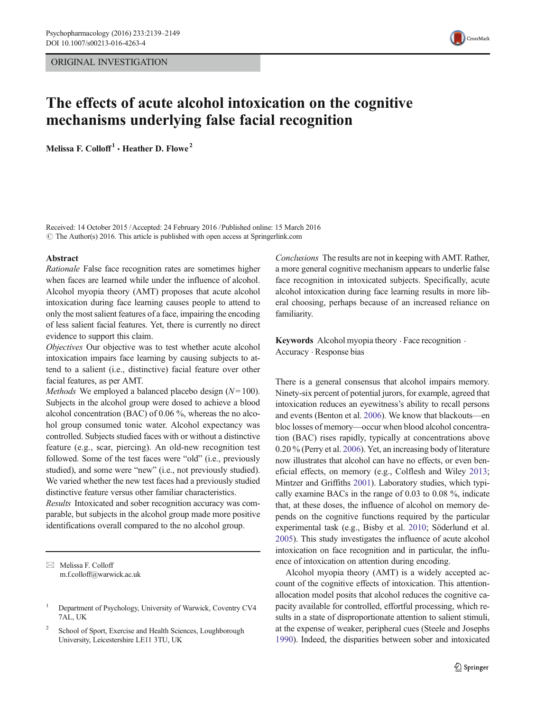# ORIGINAL INVESTIGATION



# The effects of acute alcohol intoxication on the cognitive mechanisms underlying false facial recognition

Melissa F. Colloff<sup>1</sup>  $\cdot$  Heather D. Flowe<sup>2</sup>

Received: 14 October 2015 /Accepted: 24 February 2016 / Published online: 15 March 2016  $\odot$  The Author(s) 2016. This article is published with open access at Springerlink.com

#### Abstract

Rationale False face recognition rates are sometimes higher when faces are learned while under the influence of alcohol. Alcohol myopia theory (AMT) proposes that acute alcohol intoxication during face learning causes people to attend to only the most salient features of a face, impairing the encoding of less salient facial features. Yet, there is currently no direct evidence to support this claim.

Objectives Our objective was to test whether acute alcohol intoxication impairs face learning by causing subjects to attend to a salient (i.e., distinctive) facial feature over other facial features, as per AMT.

*Methods* We employed a balanced placebo design  $(N=100)$ . Subjects in the alcohol group were dosed to achieve a blood alcohol concentration (BAC) of 0.06 %, whereas the no alcohol group consumed tonic water. Alcohol expectancy was controlled. Subjects studied faces with or without a distinctive feature (e.g., scar, piercing). An old-new recognition test followed. Some of the test faces were "old" (i.e., previously studied), and some were "new" (i.e., not previously studied). We varied whether the new test faces had a previously studied distinctive feature versus other familiar characteristics.

Results Intoxicated and sober recognition accuracy was comparable, but subjects in the alcohol group made more positive identifications overall compared to the no alcohol group.

 $\boxtimes$  Melissa F. Colloff m.f.colloff@warwick.ac.uk Conclusions The results are not in keeping with AMT. Rather, a more general cognitive mechanism appears to underlie false face recognition in intoxicated subjects. Specifically, acute alcohol intoxication during face learning results in more liberal choosing, perhaps because of an increased reliance on familiarity.

Keywords Alcohol myopia theory  $\cdot$  Face recognition  $\cdot$ Accuracy . Response bias

There is a general consensus that alcohol impairs memory. Ninety-six percent of potential jurors, for example, agreed that intoxication reduces an eyewitness's ability to recall persons and events (Benton et al. [2006\)](#page-9-0). We know that blackouts—en bloc losses of memory—occur when blood alcohol concentration (BAC) rises rapidly, typically at concentrations above 0.20 % (Perry et al. [2006\)](#page-10-0). Yet, an increasing body of literature now illustrates that alcohol can have no effects, or even beneficial effects, on memory (e.g., Colflesh and Wiley [2013;](#page-9-0) Mintzer and Griffiths [2001](#page-10-0)). Laboratory studies, which typically examine BACs in the range of 0.03 to 0.08 %, indicate that, at these doses, the influence of alcohol on memory depends on the cognitive functions required by the particular experimental task (e.g., Bisby et al. [2010;](#page-9-0) Söderlund et al. [2005\)](#page-10-0). This study investigates the influence of acute alcohol intoxication on face recognition and in particular, the influence of intoxication on attention during encoding.

Alcohol myopia theory (AMT) is a widely accepted account of the cognitive effects of intoxication. This attentionallocation model posits that alcohol reduces the cognitive capacity available for controlled, effortful processing, which results in a state of disproportionate attention to salient stimuli, at the expense of weaker, peripheral cues (Steele and Josephs [1990\)](#page-10-0). Indeed, the disparities between sober and intoxicated

<sup>1</sup> Department of Psychology, University of Warwick, Coventry CV4 7AL, UK

<sup>&</sup>lt;sup>2</sup> School of Sport, Exercise and Health Sciences, Loughborough University, Leicestershire LE11 3TU, UK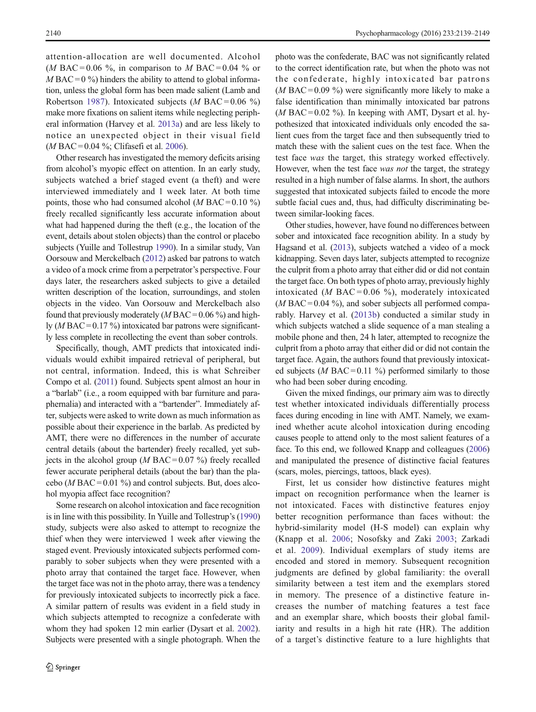attention-allocation are well documented. Alcohol (*M* BAC = 0.06 %, in comparison to *M* BAC = 0.04 % or  $M BAC = 0$ %) hinders the ability to attend to global information, unless the global form has been made salient (Lamb and Robertson [1987](#page-10-0)). Intoxicated subjects (*M* BAC =  $0.06\%$ ) make more fixations on salient items while neglecting peripheral information (Harvey et al. [2013a](#page-10-0)) and are less likely to notice an unexpected object in their visual field  $(M BAC = 0.04 \%$ ; Clifasefi et al. [2006](#page-9-0)).

Other research has investigated the memory deficits arising from alcohol's myopic effect on attention. In an early study, subjects watched a brief staged event (a theft) and were interviewed immediately and 1 week later. At both time points, those who had consumed alcohol ( $M$  BAC = 0.10 %) freely recalled significantly less accurate information about what had happened during the theft (e.g., the location of the event, details about stolen objects) than the control or placebo subjects (Yuille and Tollestrup [1990](#page-10-0)). In a similar study, Van Oorsouw and Merckelbach [\(2012\)](#page-10-0) asked bar patrons to watch a video of a mock crime from a perpetrator's perspective. Four days later, the researchers asked subjects to give a detailed written description of the location, surroundings, and stolen objects in the video. Van Oorsouw and Merckelbach also found that previously moderately  $(M BAC = 0.06\%)$  and highly  $(M BAC = 0.17\%)$  intoxicated bar patrons were significantly less complete in recollecting the event than sober controls.

Specifically, though, AMT predicts that intoxicated individuals would exhibit impaired retrieval of peripheral, but not central, information. Indeed, this is what Schreiber Compo et al. ([2011](#page-10-0)) found. Subjects spent almost an hour in a "barlab" (i.e., a room equipped with bar furniture and paraphernalia) and interacted with a "bartender". Immediately after, subjects were asked to write down as much information as possible about their experience in the barlab. As predicted by AMT, there were no differences in the number of accurate central details (about the bartender) freely recalled, yet subjects in the alcohol group ( $M$  BAC = 0.07 %) freely recalled fewer accurate peripheral details (about the bar) than the placebo ( $M$  BAC = 0.01 %) and control subjects. But, does alcohol myopia affect face recognition?

Some research on alcohol intoxication and face recognition is in line with this possibility. In Yuille and Tollestrup's [\(1990\)](#page-10-0) study, subjects were also asked to attempt to recognize the thief when they were interviewed 1 week after viewing the staged event. Previously intoxicated subjects performed comparably to sober subjects when they were presented with a photo array that contained the target face. However, when the target face was not in the photo array, there was a tendency for previously intoxicated subjects to incorrectly pick a face. A similar pattern of results was evident in a field study in which subjects attempted to recognize a confederate with whom they had spoken 12 min earlier (Dysart et al. [2002\)](#page-9-0). Subjects were presented with a single photograph. When the photo was the confederate, BAC was not significantly related to the correct identification rate, but when the photo was not the confederate, highly intoxicated bar patrons (*M* BAC = 0.09 %) were significantly more likely to make a false identification than minimally intoxicated bar patrons (*M* BAC = 0.02 %). In keeping with AMT, Dysart et al. hypothesized that intoxicated individuals only encoded the salient cues from the target face and then subsequently tried to match these with the salient cues on the test face. When the test face was the target, this strategy worked effectively. However, when the test face was not the target, the strategy resulted in a high number of false alarms. In short, the authors suggested that intoxicated subjects failed to encode the more subtle facial cues and, thus, had difficulty discriminating between similar-looking faces.

Other studies, however, have found no differences between sober and intoxicated face recognition ability. In a study by Hagsand et al. [\(2013\)](#page-10-0), subjects watched a video of a mock kidnapping. Seven days later, subjects attempted to recognize the culprit from a photo array that either did or did not contain the target face. On both types of photo array, previously highly intoxicated (*M* BAC = 0.06 %), moderately intoxicated  $(M BAC = 0.04 \%)$ , and sober subjects all performed comparably. Harvey et al. ([2013b\)](#page-10-0) conducted a similar study in which subjects watched a slide sequence of a man stealing a mobile phone and then, 24 h later, attempted to recognize the culprit from a photo array that either did or did not contain the target face. Again, the authors found that previously intoxicated subjects (*M* BAC = 0.11 %) performed similarly to those who had been sober during encoding.

Given the mixed findings, our primary aim was to directly test whether intoxicated individuals differentially process faces during encoding in line with AMT. Namely, we examined whether acute alcohol intoxication during encoding causes people to attend only to the most salient features of a face. To this end, we followed Knapp and colleagues [\(2006](#page-10-0)) and manipulated the presence of distinctive facial features (scars, moles, piercings, tattoos, black eyes).

First, let us consider how distinctive features might impact on recognition performance when the learner is not intoxicated. Faces with distinctive features enjoy better recognition performance than faces without: the hybrid-similarity model (H-S model) can explain why (Knapp et al. [2006](#page-10-0); Nosofsky and Zaki [2003](#page-10-0); Zarkadi et al. [2009](#page-10-0)). Individual exemplars of study items are encoded and stored in memory. Subsequent recognition judgments are defined by global familiarity: the overall similarity between a test item and the exemplars stored in memory. The presence of a distinctive feature increases the number of matching features a test face and an exemplar share, which boosts their global familiarity and results in a high hit rate (HR). The addition of a target's distinctive feature to a lure highlights that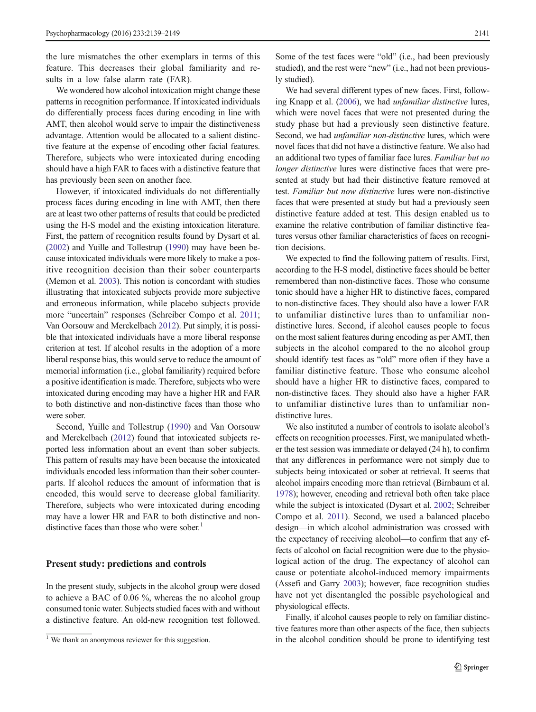the lure mismatches the other exemplars in terms of this feature. This decreases their global familiarity and results in a low false alarm rate (FAR).

We wondered how alcohol intoxication might change these patterns in recognition performance. If intoxicated individuals do differentially process faces during encoding in line with AMT, then alcohol would serve to impair the distinctiveness advantage. Attention would be allocated to a salient distinctive feature at the expense of encoding other facial features. Therefore, subjects who were intoxicated during encoding should have a high FAR to faces with a distinctive feature that has previously been seen on another face.

However, if intoxicated individuals do not differentially process faces during encoding in line with AMT, then there are at least two other patterns of results that could be predicted using the H-S model and the existing intoxication literature. First, the pattern of recognition results found by Dysart et al. [\(2002\)](#page-9-0) and Yuille and Tollestrup [\(1990\)](#page-10-0) may have been because intoxicated individuals were more likely to make a positive recognition decision than their sober counterparts (Memon et al. [2003\)](#page-10-0). This notion is concordant with studies illustrating that intoxicated subjects provide more subjective and erroneous information, while placebo subjects provide more "uncertain" responses (Schreiber Compo et al. [2011](#page-10-0); Van Oorsouw and Merckelbach [2012\)](#page-10-0). Put simply, it is possible that intoxicated individuals have a more liberal response criterion at test. If alcohol results in the adoption of a more liberal response bias, this would serve to reduce the amount of memorial information (i.e., global familiarity) required before a positive identification is made. Therefore, subjects who were intoxicated during encoding may have a higher HR and FAR to both distinctive and non-distinctive faces than those who were sober.

Second, Yuille and Tollestrup [\(1990\)](#page-10-0) and Van Oorsouw and Merckelbach [\(2012\)](#page-10-0) found that intoxicated subjects reported less information about an event than sober subjects. This pattern of results may have been because the intoxicated individuals encoded less information than their sober counterparts. If alcohol reduces the amount of information that is encoded, this would serve to decrease global familiarity. Therefore, subjects who were intoxicated during encoding may have a lower HR and FAR to both distinctive and nondistinctive faces than those who were sober. $<sup>1</sup>$ </sup>

## Present study: predictions and controls

In the present study, subjects in the alcohol group were dosed to achieve a BAC of 0.06 %, whereas the no alcohol group consumed tonic water. Subjects studied faces with and without a distinctive feature. An old-new recognition test followed.

Some of the test faces were "old" (i.e., had been previously studied), and the rest were "new" (i.e., had not been previously studied).

We had several different types of new faces. First, follow-ing Knapp et al. ([2006](#page-10-0)), we had *unfamiliar distinctive* lures, which were novel faces that were not presented during the study phase but had a previously seen distinctive feature. Second, we had *unfamiliar non-distinctive* lures, which were novel faces that did not have a distinctive feature. We also had an additional two types of familiar face lures. Familiar but no longer distinctive lures were distinctive faces that were presented at study but had their distinctive feature removed at test. Familiar but now distinctive lures were non-distinctive faces that were presented at study but had a previously seen distinctive feature added at test. This design enabled us to examine the relative contribution of familiar distinctive features versus other familiar characteristics of faces on recognition decisions.

We expected to find the following pattern of results. First, according to the H-S model, distinctive faces should be better remembered than non-distinctive faces. Those who consume tonic should have a higher HR to distinctive faces, compared to non-distinctive faces. They should also have a lower FAR to unfamiliar distinctive lures than to unfamiliar nondistinctive lures. Second, if alcohol causes people to focus on the most salient features during encoding as per AMT, then subjects in the alcohol compared to the no alcohol group should identify test faces as "old" more often if they have a familiar distinctive feature. Those who consume alcohol should have a higher HR to distinctive faces, compared to non-distinctive faces. They should also have a higher FAR to unfamiliar distinctive lures than to unfamiliar nondistinctive lures.

We also instituted a number of controls to isolate alcohol's effects on recognition processes. First, we manipulated whether the test session was immediate or delayed (24 h), to confirm that any differences in performance were not simply due to subjects being intoxicated or sober at retrieval. It seems that alcohol impairs encoding more than retrieval (Birnbaum et al. [1978\)](#page-9-0); however, encoding and retrieval both often take place while the subject is intoxicated (Dysart et al. [2002;](#page-9-0) Schreiber Compo et al. [2011](#page-10-0)). Second, we used a balanced placebo design—in which alcohol administration was crossed with the expectancy of receiving alcohol—to confirm that any effects of alcohol on facial recognition were due to the physiological action of the drug. The expectancy of alcohol can cause or potentiate alcohol-induced memory impairments (Assefi and Garry [2003](#page-9-0)); however, face recognition studies have not yet disentangled the possible psychological and physiological effects.

Finally, if alcohol causes people to rely on familiar distinctive features more than other aspects of the face, then subjects <sup>1</sup> We thank an anonymous reviewer for this suggestion. in the alcohol condition should be prone to identifying test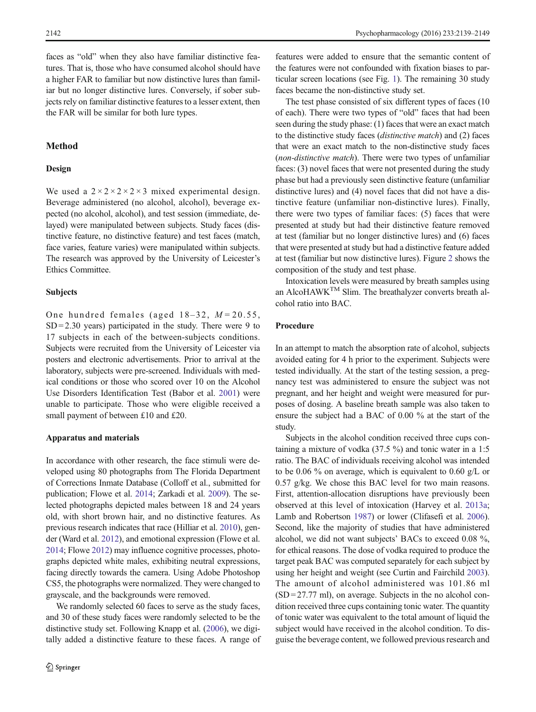faces as "old" when they also have familiar distinctive features. That is, those who have consumed alcohol should have a higher FAR to familiar but now distinctive lures than familiar but no longer distinctive lures. Conversely, if sober subjects rely on familiar distinctive features to a lesser extent, then the FAR will be similar for both lure types.

## Method

# Design

We used a  $2 \times 2 \times 2 \times 2 \times 3$  mixed experimental design. Beverage administered (no alcohol, alcohol), beverage expected (no alcohol, alcohol), and test session (immediate, delayed) were manipulated between subjects. Study faces (distinctive feature, no distinctive feature) and test faces (match, face varies, feature varies) were manipulated within subjects. The research was approved by the University of Leicester's Ethics Committee.

#### Subjects

One hundred females (aged  $18-32$ ,  $M=20.55$ ,  $SD = 2.30$  years) participated in the study. There were 9 to 17 subjects in each of the between-subjects conditions. Subjects were recruited from the University of Leicester via posters and electronic advertisements. Prior to arrival at the laboratory, subjects were pre-screened. Individuals with medical conditions or those who scored over 10 on the Alcohol Use Disorders Identification Test (Babor et al. [2001](#page-9-0)) were unable to participate. Those who were eligible received a small payment of between £10 and £20.

#### Apparatus and materials

In accordance with other research, the face stimuli were developed using 80 photographs from The Florida Department of Corrections Inmate Database (Colloff et al., submitted for publication; Flowe et al. [2014;](#page-9-0) Zarkadi et al. [2009\)](#page-10-0). The selected photographs depicted males between 18 and 24 years old, with short brown hair, and no distinctive features. As previous research indicates that race (Hilliar et al. [2010\)](#page-10-0), gender (Ward et al. [2012](#page-10-0)), and emotional expression (Flowe et al. [2014;](#page-9-0) Flowe [2012](#page-9-0)) may influence cognitive processes, photographs depicted white males, exhibiting neutral expressions, facing directly towards the camera. Using Adobe Photoshop CS5, the photographs were normalized. They were changed to grayscale, and the backgrounds were removed.

We randomly selected 60 faces to serve as the study faces, and 30 of these study faces were randomly selected to be the distinctive study set. Following Knapp et al. [\(2006\)](#page-10-0), we digitally added a distinctive feature to these faces. A range of

features were added to ensure that the semantic content of the features were not confounded with fixation biases to particular screen locations (see Fig. [1](#page-4-0)). The remaining 30 study faces became the non-distinctive study set.

The test phase consisted of six different types of faces (10 of each). There were two types of "old" faces that had been seen during the study phase: (1) faces that were an exact match to the distinctive study faces (distinctive match) and (2) faces that were an exact match to the non-distinctive study faces (non-distinctive match). There were two types of unfamiliar faces: (3) novel faces that were not presented during the study phase but had a previously seen distinctive feature (unfamiliar distinctive lures) and (4) novel faces that did not have a distinctive feature (unfamiliar non-distinctive lures). Finally, there were two types of familiar faces: (5) faces that were presented at study but had their distinctive feature removed at test (familiar but no longer distinctive lures) and (6) faces that were presented at study but had a distinctive feature added at test (familiar but now distinctive lures). Figure [2](#page-4-0) shows the composition of the study and test phase.

Intoxication levels were measured by breath samples using an AlcoHAWKTM Slim. The breathalyzer converts breath alcohol ratio into BAC.

# Procedure

In an attempt to match the absorption rate of alcohol, subjects avoided eating for 4 h prior to the experiment. Subjects were tested individually. At the start of the testing session, a pregnancy test was administered to ensure the subject was not pregnant, and her height and weight were measured for purposes of dosing. A baseline breath sample was also taken to ensure the subject had a BAC of 0.00 % at the start of the study.

Subjects in the alcohol condition received three cups containing a mixture of vodka (37.5 %) and tonic water in a 1:5 ratio. The BAC of individuals receiving alcohol was intended to be 0.06 % on average, which is equivalent to 0.60 g/L or 0.57 g/kg. We chose this BAC level for two main reasons. First, attention-allocation disruptions have previously been observed at this level of intoxication (Harvey et al. [2013a;](#page-10-0) Lamb and Robertson [1987\)](#page-10-0) or lower (Clifasefi et al. [2006\)](#page-9-0). Second, like the majority of studies that have administered alcohol, we did not want subjects' BACs to exceed 0.08 %, for ethical reasons. The dose of vodka required to produce the target peak BAC was computed separately for each subject by using her height and weight (see Curtin and Fairchild [2003\)](#page-9-0). The amount of alcohol administered was 101.86 ml  $(SD = 27.77$  ml), on average. Subjects in the no alcohol condition received three cups containing tonic water. The quantity of tonic water was equivalent to the total amount of liquid the subject would have received in the alcohol condition. To disguise the beverage content, we followed previous research and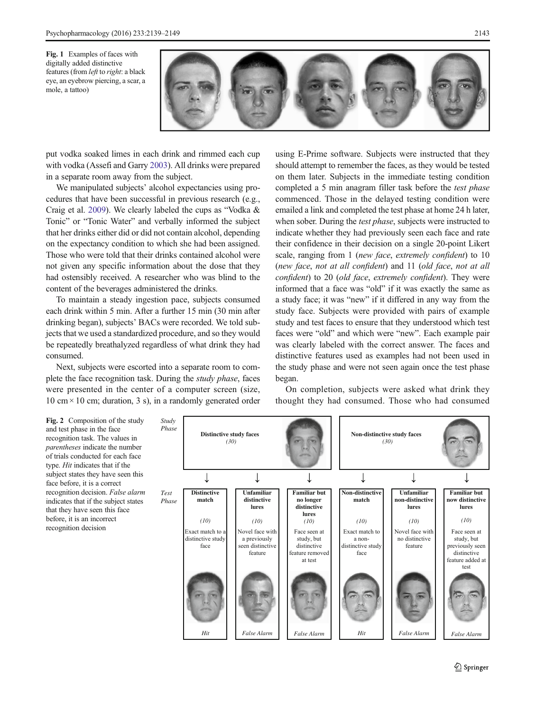

<span id="page-4-0"></span>put vodka soaked limes in each drink and rimmed each cup with vodka (Assefi and Garry [2003](#page-9-0)). All drinks were prepared in a separate room away from the subject.

We manipulated subjects' alcohol expectancies using procedures that have been successful in previous research (e.g., Craig et al. [2009\)](#page-9-0). We clearly labeled the cups as "Vodka & Tonic" or "Tonic Water" and verbally informed the subject that her drinks either did or did not contain alcohol, depending on the expectancy condition to which she had been assigned. Those who were told that their drinks contained alcohol were not given any specific information about the dose that they had ostensibly received. A researcher who was blind to the content of the beverages administered the drinks.

To maintain a steady ingestion pace, subjects consumed each drink within 5 min. After a further 15 min (30 min after drinking began), subjects' BACs were recorded. We told subjects that we used a standardized procedure, and so they would be repeatedly breathalyzed regardless of what drink they had consumed.

Next, subjects were escorted into a separate room to complete the face recognition task. During the study phase, faces were presented in the center of a computer screen (size, 10 cm  $\times$  10 cm; duration, 3 s), in a randomly generated order using E-Prime software. Subjects were instructed that they should attempt to remember the faces, as they would be tested on them later. Subjects in the immediate testing condition completed a 5 min anagram filler task before the test phase commenced. Those in the delayed testing condition were emailed a link and completed the test phase at home 24 h later, when sober. During the *test phase*, subjects were instructed to indicate whether they had previously seen each face and rate their confidence in their decision on a single 20-point Likert scale, ranging from 1 (new face, extremely confident) to 10 (new face, not at all confident) and 11 (old face, not at all confident) to 20 (old face, extremely confident). They were informed that a face was "old" if it was exactly the same as a study face; it was "new" if it differed in any way from the study face. Subjects were provided with pairs of example study and test faces to ensure that they understood which test faces were "old" and which were "new". Each example pair was clearly labeled with the correct answer. The faces and distinctive features used as examples had not been used in the study phase and were not seen again once the test phase began.

On completion, subjects were asked what drink they thought they had consumed. Those who had consumed

Fig. 2 Composition of the study and test phase in the face recognition task. The values in parentheses indicate the number of trials conducted for each face type. Hit indicates that if the subject states they have seen this face before, it is a correct recognition decision. False alarm indicates that if the subject states that they have seen this face before, it is an incorrect recognition decision

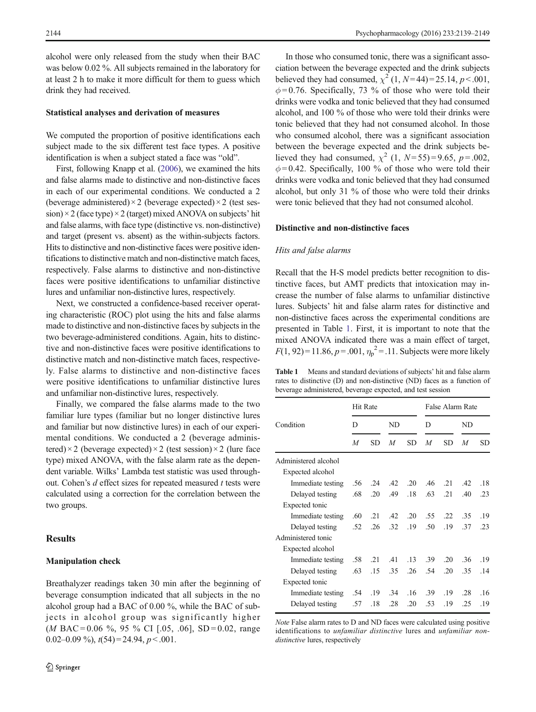alcohol were only released from the study when their BAC was below 0.02 %. All subjects remained in the laboratory for at least 2 h to make it more difficult for them to guess which drink they had received.

#### Statistical analyses and derivation of measures

We computed the proportion of positive identifications each subject made to the six different test face types. A positive identification is when a subject stated a face was "old".

First, following Knapp et al. ([2006\)](#page-10-0), we examined the hits and false alarms made to distinctive and non-distinctive faces in each of our experimental conditions. We conducted a 2 (beverage administered)  $\times$  2 (beverage expected)  $\times$  2 (test session)  $\times$  2 (face type)  $\times$  2 (target) mixed ANOVA on subjects' hit and false alarms, with face type (distinctive vs. non-distinctive) and target (present vs. absent) as the within-subjects factors. Hits to distinctive and non-distinctive faces were positive identifications to distinctive match and non-distinctive match faces, respectively. False alarms to distinctive and non-distinctive faces were positive identifications to unfamiliar distinctive lures and unfamiliar non-distinctive lures, respectively.

Next, we constructed a confidence-based receiver operating characteristic (ROC) plot using the hits and false alarms made to distinctive and non-distinctive faces by subjects in the two beverage-administered conditions. Again, hits to distinctive and non-distinctive faces were positive identifications to distinctive match and non-distinctive match faces, respectively. False alarms to distinctive and non-distinctive faces were positive identifications to unfamiliar distinctive lures and unfamiliar non-distinctive lures, respectively.

Finally, we compared the false alarms made to the two familiar lure types (familiar but no longer distinctive lures and familiar but now distinctive lures) in each of our experimental conditions. We conducted a 2 (beverage administered) × 2 (beverage expected) × 2 (test session) × 2 (lure face type) mixed ANOVA, with the false alarm rate as the dependent variable. Wilks' Lambda test statistic was used throughout. Cohen's  $d$  effect sizes for repeated measured  $t$  tests were calculated using a correction for the correlation between the two groups.

## Results

#### Manipulation check

Breathalyzer readings taken 30 min after the beginning of beverage consumption indicated that all subjects in the no alcohol group had a BAC of 0.00 %, while the BAC of subjects in alcohol group was significantly higher (*M* BAC = 0.06 %, 95 % CI [.05, .06], SD = 0.02, range 0.02–0.09 %),  $t(54) = 24.94$ ,  $p < .001$ .

In those who consumed tonic, there was a significant association between the beverage expected and the drink subjects believed they had consumed,  $\chi^2$  (1, N=44)=25.14, p < .001,  $\phi$ =0.76. Specifically, 73 % of those who were told their drinks were vodka and tonic believed that they had consumed alcohol, and 100 % of those who were told their drinks were tonic believed that they had not consumed alcohol. In those who consumed alcohol, there was a significant association between the beverage expected and the drink subjects believed they had consumed,  $\chi^2$  (1, N=55)=9.65, p=.002,  $\phi$ =0.42. Specifically, 100 % of those who were told their drinks were vodka and tonic believed that they had consumed alcohol, but only 31 % of those who were told their drinks were tonic believed that they had not consumed alcohol.

#### Distinctive and non-distinctive faces

# Hits and false alarms

Recall that the H-S model predicts better recognition to distinctive faces, but AMT predicts that intoxication may increase the number of false alarms to unfamiliar distinctive lures. Subjects' hit and false alarm rates for distinctive and non-distinctive faces across the experimental conditions are presented in Table 1. First, it is important to note that the mixed ANOVA indicated there was a main effect of target,  $F(1, 92) = 11.86, p = .001, \eta_p^2 = .11$ . Subjects were more likely

Table 1 Means and standard deviations of subjects' hit and false alarm rates to distinctive (D) and non-distinctive (ND) faces as a function of beverage administered, beverage expected, and test session

|                      | Hit Rate |     |     |     | False Alarm Rate |     |     |     |
|----------------------|----------|-----|-----|-----|------------------|-----|-----|-----|
| Condition            | D        |     | ND  |     | D                |     | ND  |     |
|                      | M        | SD  | M   | SD  | M                | SD  | M   | SD  |
| Administered alcohol |          |     |     |     |                  |     |     |     |
| Expected alcohol     |          |     |     |     |                  |     |     |     |
| Immediate testing    | .56      | .24 | .42 | .20 | .46              | .21 | .42 | .18 |
| Delayed testing      | .68      | .20 | .49 | .18 | .63              | .21 | .40 | .23 |
| Expected tonic       |          |     |     |     |                  |     |     |     |
| Immediate testing    | .60      | .21 | .42 | .20 | .55              | .22 | .35 | .19 |
| Delayed testing      | .52      | .26 | .32 | .19 | .50              | .19 | .37 | .23 |
| Administered tonic   |          |     |     |     |                  |     |     |     |
| Expected alcohol     |          |     |     |     |                  |     |     |     |
| Immediate testing    | .58      | .21 | .41 | .13 | .39              | .20 | .36 | .19 |
| Delayed testing      | .63      | .15 | .35 | .26 | .54              | .20 | .35 | .14 |
| Expected tonic       |          |     |     |     |                  |     |     |     |
| Immediate testing    | .54      | .19 | .34 | .16 | .39              | .19 | .28 | .16 |
| Delayed testing      | .57      | .18 | .28 | .20 | .53              | .19 | .25 | .19 |
|                      |          |     |     |     |                  |     |     |     |

Note False alarm rates to D and ND faces were calculated using positive identifications to *unfamiliar distinctive* lures and *unfamiliar non*distinctive lures, respectively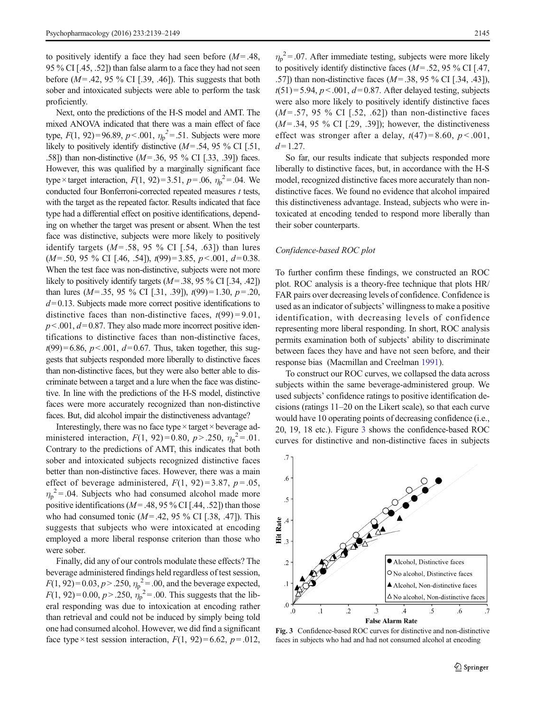<span id="page-6-0"></span>to positively identify a face they had seen before  $(M=0.48)$ . 95 % CI [.45, .52]) than false alarm to a face they had not seen before ( $M = .42, 95\%$  CI [.39, .46]). This suggests that both sober and intoxicated subjects were able to perform the task proficiently.

Next, onto the predictions of the H-S model and AMT. The mixed ANOVA indicated that there was a main effect of face type,  $F(1, 92) = 96.89$ ,  $p < .001$ ,  $\eta_p^2 = .51$ . Subjects were more likely to positively identify distinctive  $(M= .54, 95\% \text{ CI}$  [.51, .58]) than non-distinctive  $(M= .36, 95\% \text{ CI}$  [.33, .39]) faces. However, this was qualified by a marginally significant face type × target interaction,  $F(1, 92) = 3.51$ ,  $p = .06$ ,  $\eta_p^2 = .04$ . We conducted four Bonferroni-corrected repeated measures  $t$  tests, with the target as the repeated factor. Results indicated that face type had a differential effect on positive identifications, depending on whether the target was present or absent. When the test face was distinctive, subjects were more likely to positively identify targets  $(M = .58, 95 \%$  CI [.54, .63]) than lures  $(M= .50, 95 \%$  CI [.46, .54]),  $t(99)=3.85, p<.001, d=0.38$ . When the test face was non-distinctive, subjects were not more likely to positively identify targets  $(M= .38, 95\% \text{ CI}$  [.34, .42]) than lures  $(M= .35, 95 \%$  CI [.31, .39]),  $t(99)=1.30, p=.20,$  $d= 0.13$ . Subjects made more correct positive identifications to distinctive faces than non-distinctive faces,  $t(99) = 9.01$ ,  $p<.001, d=0.87$ . They also made more incorrect positive identifications to distinctive faces than non-distinctive faces,  $t(99)=6.86, p<.001, d=0.67$ . Thus, taken together, this suggests that subjects responded more liberally to distinctive faces than non-distinctive faces, but they were also better able to discriminate between a target and a lure when the face was distinctive. In line with the predictions of the H-S model, distinctive faces were more accurately recognized than non-distinctive faces. But, did alcohol impair the distinctiveness advantage?

Interestingly, there was no face type  $\times$  target  $\times$  beverage administered interaction,  $F(1, 92) = 0.80$ ,  $p > .250$ ,  $\eta_p^2 = .01$ . Contrary to the predictions of AMT, this indicates that both sober and intoxicated subjects recognized distinctive faces better than non-distinctive faces. However, there was a main effect of beverage administered,  $F(1, 92)=3.87$ ,  $p=.05$ ,  $\eta_p^2$  = .04. Subjects who had consumed alcohol made more positive identifications ( $M = .48, 95\%$  CI [.44, .52]) than those who had consumed tonic  $(M = .42, 95\% \text{ CI}$  [.38, .47]). This suggests that subjects who were intoxicated at encoding employed a more liberal response criterion than those who were sober.

Finally, did any of our controls modulate these effects? The beverage administered findings held regardless of test session,  $F(1, 92) = 0.03, p > 0.250, \eta_p^2 = 0.00$ , and the beverage expected,  $F(1, 92) = 0.00, p > .250, \eta_p^2 = .00$ . This suggests that the liberal responding was due to intoxication at encoding rather than retrieval and could not be induced by simply being told one had consumed alcohol. However, we did find a significant face type  $\times$  test session interaction,  $F(1, 92) = 6.62$ ,  $p = .012$ ,

 $\eta_p^2$  = .07. After immediate testing, subjects were more likely to positively identify distinctive faces  $(M = .52, 95\%$  CI [.47, .57]) than non-distinctive faces  $(M = .38, 95\%$  CI [.34, .43]),  $t(51)=5.94, p<.001, d=0.87$ . After delayed testing, subjects were also more likely to positively identify distinctive faces  $(M = .57, 95 \%$  CI [.52, .62]) than non-distinctive faces  $(M = .34, 95 \%$  CI [.29, .39]); however, the distinctiveness effect was stronger after a delay,  $t(47) = 8.60$ ,  $p < .001$ ,  $d = 1.27$ .

So far, our results indicate that subjects responded more liberally to distinctive faces, but, in accordance with the H-S model, recognized distinctive faces more accurately than nondistinctive faces. We found no evidence that alcohol impaired this distinctiveness advantage. Instead, subjects who were intoxicated at encoding tended to respond more liberally than their sober counterparts.

## Confidence-based ROC plot

To further confirm these findings, we constructed an ROC plot. ROC analysis is a theory-free technique that plots HR/ FAR pairs over decreasing levels of confidence. Confidence is used as an indicator of subjects' willingness to make a positive identification, with decreasing levels of confidence representing more liberal responding. In short, ROC analysis permits examination both of subjects' ability to discriminate between faces they have and have not seen before, and their response bias (Macmillan and Creelman [1991\)](#page-10-0).

To construct our ROC curves, we collapsed the data across subjects within the same beverage-administered group. We used subjects' confidence ratings to positive identification decisions (ratings 11–20 on the Likert scale), so that each curve would have 10 operating points of decreasing confidence (i.e., 20, 19, 18 etc.). Figure 3 shows the confidence-based ROC curves for distinctive and non-distinctive faces in subjects



Fig. 3 Confidence-based ROC curves for distinctive and non-distinctive faces in subjects who had and had not consumed alcohol at encoding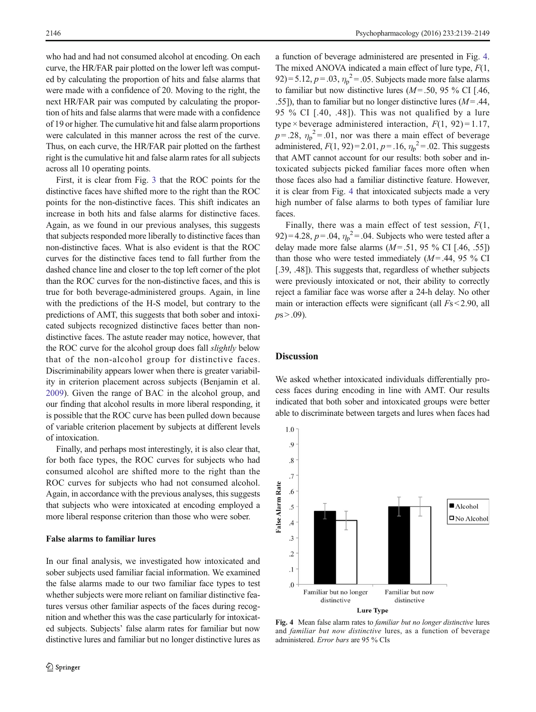who had and had not consumed alcohol at encoding. On each curve, the HR/FAR pair plotted on the lower left was computed by calculating the proportion of hits and false alarms that were made with a confidence of 20. Moving to the right, the next HR/FAR pair was computed by calculating the proportion of hits and false alarms that were made with a confidence of 19 or higher. The cumulative hit and false alarm proportions were calculated in this manner across the rest of the curve. Thus, on each curve, the HR/FAR pair plotted on the farthest right is the cumulative hit and false alarm rates for all subjects across all 10 operating points.

First, it is clear from Fig. [3](#page-6-0) that the ROC points for the distinctive faces have shifted more to the right than the ROC points for the non-distinctive faces. This shift indicates an increase in both hits and false alarms for distinctive faces. Again, as we found in our previous analyses, this suggests that subjects responded more liberally to distinctive faces than non-distinctive faces. What is also evident is that the ROC curves for the distinctive faces tend to fall further from the dashed chance line and closer to the top left corner of the plot than the ROC curves for the non-distinctive faces, and this is true for both beverage-administered groups. Again, in line with the predictions of the H-S model, but contrary to the predictions of AMT, this suggests that both sober and intoxicated subjects recognized distinctive faces better than nondistinctive faces. The astute reader may notice, however, that the ROC curve for the alcohol group does fall slightly below that of the non-alcohol group for distinctive faces. Discriminability appears lower when there is greater variability in criterion placement across subjects (Benjamin et al. [2009\)](#page-9-0). Given the range of BAC in the alcohol group, and our finding that alcohol results in more liberal responding, it is possible that the ROC curve has been pulled down because of variable criterion placement by subjects at different levels of intoxication.

Finally, and perhaps most interestingly, it is also clear that, for both face types, the ROC curves for subjects who had consumed alcohol are shifted more to the right than the ROC curves for subjects who had not consumed alcohol. Again, in accordance with the previous analyses, this suggests that subjects who were intoxicated at encoding employed a more liberal response criterion than those who were sober.

## False alarms to familiar lures

In our final analysis, we investigated how intoxicated and sober subjects used familiar facial information. We examined the false alarms made to our two familiar face types to test whether subjects were more reliant on familiar distinctive features versus other familiar aspects of the faces during recognition and whether this was the case particularly for intoxicated subjects. Subjects' false alarm rates for familiar but now distinctive lures and familiar but no longer distinctive lures as a function of beverage administered are presented in Fig. 4. The mixed ANOVA indicated a main effect of lure type,  $F(1, 1)$ 92) = 5.12,  $p = .03$ ,  $\eta_p^2 = .05$ . Subjects made more false alarms to familiar but now distinctive lures ( $M = .50$ , 95 % CI [.46, .55]), than to familiar but no longer distinctive lures  $(M = .44, )$ 95 % CI [.40, .48]). This was not qualified by a lure type × beverage administered interaction,  $F(1, 92) = 1.17$ ,  $p = 0.28$ ,  $\eta_p^2 = 0.01$ , nor was there a main effect of beverage administered,  $F(1, 92) = 2.01$ ,  $p = .16$ ,  $\eta_p^2 = .02$ . This suggests that AMT cannot account for our results: both sober and intoxicated subjects picked familiar faces more often when those faces also had a familiar distinctive feature. However, it is clear from Fig. 4 that intoxicated subjects made a very high number of false alarms to both types of familiar lure faces.

Finally, there was a main effect of test session,  $F(1,$ 92) = 4.28,  $p = .04$ ,  $\eta_p^2 = .04$ . Subjects who were tested after a delay made more false alarms  $(M = .51, 95\%$  CI [.46, .55]) than those who were tested immediately  $(M = .44, 95\%$  CI [.39, .48]). This suggests that, regardless of whether subjects were previously intoxicated or not, their ability to correctly reject a familiar face was worse after a 24-h delay. No other main or interaction effects were significant (all Fs < 2.90, all  $ps > .09$ ).

#### **Discussion**

We asked whether intoxicated individuals differentially process faces during encoding in line with AMT. Our results indicated that both sober and intoxicated groups were better able to discriminate between targets and lures when faces had



Fig. 4 Mean false alarm rates to familiar but no longer distinctive lures and familiar but now distinctive lures, as a function of beverage administered. Error bars are 95 % CIs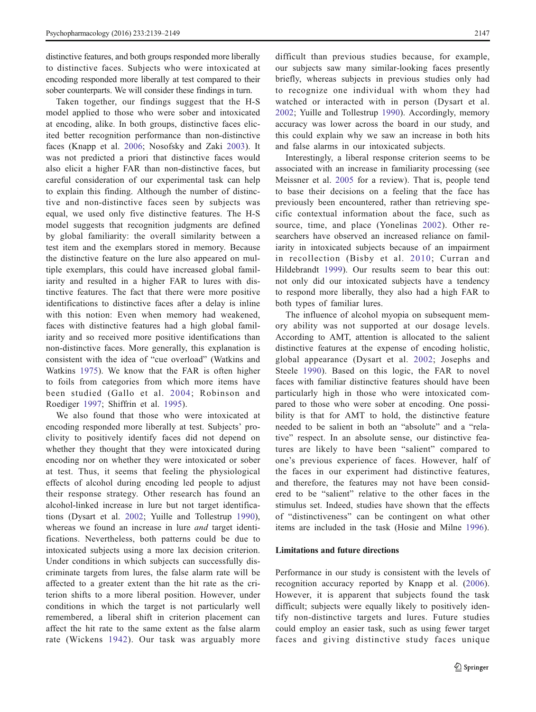distinctive features, and both groups responded more liberally to distinctive faces. Subjects who were intoxicated at encoding responded more liberally at test compared to their sober counterparts. We will consider these findings in turn.

Taken together, our findings suggest that the H-S model applied to those who were sober and intoxicated at encoding, alike. In both groups, distinctive faces elicited better recognition performance than non-distinctive faces (Knapp et al. [2006](#page-10-0); Nosofsky and Zaki [2003](#page-10-0)). It was not predicted a priori that distinctive faces would also elicit a higher FAR than non-distinctive faces, but careful consideration of our experimental task can help to explain this finding. Although the number of distinctive and non-distinctive faces seen by subjects was equal, we used only five distinctive features. The H-S model suggests that recognition judgments are defined by global familiarity: the overall similarity between a test item and the exemplars stored in memory. Because the distinctive feature on the lure also appeared on multiple exemplars, this could have increased global familiarity and resulted in a higher FAR to lures with distinctive features. The fact that there were more positive identifications to distinctive faces after a delay is inline with this notion: Even when memory had weakened, faces with distinctive features had a high global familiarity and so received more positive identifications than non-distinctive faces. More generally, this explanation is consistent with the idea of "cue overload" (Watkins and Watkins [1975](#page-10-0)). We know that the FAR is often higher to foils from categories from which more items have been studied (Gallo et al. [2004](#page-10-0); Robinson and Roediger [1997;](#page-10-0) Shiffrin et al. [1995](#page-10-0)).

We also found that those who were intoxicated at encoding responded more liberally at test. Subjects' proclivity to positively identify faces did not depend on whether they thought that they were intoxicated during encoding nor on whether they were intoxicated or sober at test. Thus, it seems that feeling the physiological effects of alcohol during encoding led people to adjust their response strategy. Other research has found an alcohol-linked increase in lure but not target identifications (Dysart et al. [2002](#page-9-0); Yuille and Tollestrup [1990](#page-10-0)), whereas we found an increase in lure *and* target identifications. Nevertheless, both patterns could be due to intoxicated subjects using a more lax decision criterion. Under conditions in which subjects can successfully discriminate targets from lures, the false alarm rate will be affected to a greater extent than the hit rate as the criterion shifts to a more liberal position. However, under conditions in which the target is not particularly well remembered, a liberal shift in criterion placement can affect the hit rate to the same extent as the false alarm rate (Wickens [1942](#page-10-0)). Our task was arguably more difficult than previous studies because, for example, our subjects saw many similar-looking faces presently briefly, whereas subjects in previous studies only had to recognize one individual with whom they had watched or interacted with in person (Dysart et al. [2002](#page-9-0); Yuille and Tollestrup [1990\)](#page-10-0). Accordingly, memory accuracy was lower across the board in our study, and this could explain why we saw an increase in both hits and false alarms in our intoxicated subjects.

Interestingly, a liberal response criterion seems to be associated with an increase in familiarity processing (see Meissner et al. [2005](#page-10-0) for a review). That is, people tend to base their decisions on a feeling that the face has previously been encountered, rather than retrieving specific contextual information about the face, such as source, time, and place (Yonelinas [2002](#page-10-0)). Other researchers have observed an increased reliance on familiarity in intoxicated subjects because of an impairment in recollection (Bisby et al. [2010;](#page-9-0) Curran and Hildebrandt [1999\)](#page-9-0). Our results seem to bear this out: not only did our intoxicated subjects have a tendency to respond more liberally, they also had a high FAR to both types of familiar lures.

The influence of alcohol myopia on subsequent memory ability was not supported at our dosage levels. According to AMT, attention is allocated to the salient distinctive features at the expense of encoding holistic, global appearance (Dysart et al. [2002](#page-9-0); Josephs and Steele [1990](#page-10-0)). Based on this logic, the FAR to novel faces with familiar distinctive features should have been particularly high in those who were intoxicated compared to those who were sober at encoding. One possibility is that for AMT to hold, the distinctive feature needed to be salient in both an "absolute" and a "relative" respect. In an absolute sense, our distinctive features are likely to have been "salient" compared to one's previous experience of faces. However, half of the faces in our experiment had distinctive features, and therefore, the features may not have been considered to be "salient" relative to the other faces in the stimulus set. Indeed, studies have shown that the effects of "distinctiveness" can be contingent on what other items are included in the task (Hosie and Milne [1996](#page-10-0)).

# Limitations and future directions

Performance in our study is consistent with the levels of recognition accuracy reported by Knapp et al. ([2006](#page-10-0)). However, it is apparent that subjects found the task difficult; subjects were equally likely to positively identify non-distinctive targets and lures. Future studies could employ an easier task, such as using fewer target faces and giving distinctive study faces unique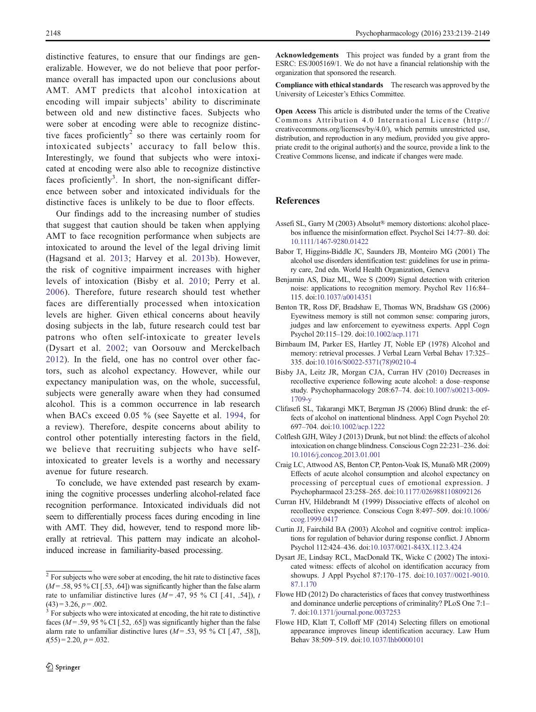<span id="page-9-0"></span>distinctive features, to ensure that our findings are generalizable. However, we do not believe that poor performance overall has impacted upon our conclusions about AMT. AMT predicts that alcohol intoxication at encoding will impair subjects' ability to discriminate between old and new distinctive faces. Subjects who were sober at encoding were able to recognize distinctive faces proficiently<sup>2</sup> so there was certainly room for intoxicated subjects' accuracy to fall below this. Interestingly, we found that subjects who were intoxicated at encoding were also able to recognize distinctive faces proficiently<sup>3</sup>. In short, the non-significant difference between sober and intoxicated individuals for the distinctive faces is unlikely to be due to floor effects.

Our findings add to the increasing number of studies that suggest that caution should be taken when applying AMT to face recognition performance when subjects are intoxicated to around the level of the legal driving limit (Hagsand et al. [2013;](#page-10-0) Harvey et al. [2013b\)](#page-10-0). However, the risk of cognitive impairment increases with higher levels of intoxication (Bisby et al. 2010; Perry et al. [2006\)](#page-10-0). Therefore, future research should test whether faces are differentially processed when intoxication levels are higher. Given ethical concerns about heavily dosing subjects in the lab, future research could test bar patrons who often self-intoxicate to greater levels (Dysart et al. 2002; van Oorsouw and Merckelbach [2012](#page-10-0)). In the field, one has no control over other factors, such as alcohol expectancy. However, while our expectancy manipulation was, on the whole, successful, subjects were generally aware when they had consumed alcohol. This is a common occurrence in lab research when BACs exceed 0.05 % (see Sayette et al. [1994,](#page-10-0) for a review). Therefore, despite concerns about ability to control other potentially interesting factors in the field, we believe that recruiting subjects who have selfintoxicated to greater levels is a worthy and necessary avenue for future research.

To conclude, we have extended past research by examining the cognitive processes underling alcohol-related face recognition performance. Intoxicated individuals did not seem to differentially process faces during encoding in line with AMT. They did, however, tend to respond more liberally at retrieval. This pattern may indicate an alcoholinduced increase in familiarity-based processing.

Acknowledgements This project was funded by a grant from the ESRC: ES/J005169/1. We do not have a financial relationship with the organization that sponsored the research.

Compliance with ethical standards The research was approved by the University of Leicester's Ethics Committee.

Open Access This article is distributed under the terms of the Creative Commons Attribution 4.0 International License (http:// creativecommons.org/licenses/by/4.0/), which permits unrestricted use, distribution, and reproduction in any medium, provided you give appropriate credit to the original author(s) and the source, provide a link to the Creative Commons license, and indicate if changes were made.

# References

- Assefi SL, Garry M (2003) Absolut® memory distortions: alcohol placebos influence the misinformation effect. Psychol Sci 14:77–80. doi: [10.1111/1467-9280.01422](http://dx.doi.org/10.1111/1467-9280.01422)
- Babor T, Higgins-Biddle JC, Saunders JB, Monteiro MG (2001) The alcohol use disorders identification test: guidelines for use in primary care, 2nd edn. World Health Organization, Geneva
- Benjamin AS, Diaz ML, Wee S (2009) Signal detection with criterion noise: applications to recognition memory. Psychol Rev 116:84– 115. doi[:10.1037/a0014351](http://dx.doi.org/10.1037/a0014351)
- Benton TR, Ross DF, Bradshaw E, Thomas WN, Bradshaw GS (2006) Eyewitness memory is still not common sense: comparing jurors, judges and law enforcement to eyewitness experts. Appl Cogn Psychol 20:115–129. doi[:10.1002/acp.1171](http://dx.doi.org/10.1002/acp.1171)
- Birnbaum IM, Parker ES, Hartley JT, Noble EP (1978) Alcohol and memory: retrieval processes. J Verbal Learn Verbal Behav 17:325– 335. doi[:10.1016/S0022-5371\(78\)90210-4](http://dx.doi.org/10.1016/S0022-5371(78)90210-4)
- Bisby JA, Leitz JR, Morgan CJA, Curran HV (2010) Decreases in recollective experience following acute alcohol: a dose–response study. Psychopharmacology 208:67–74. doi[:10.1007/s00213-009-](http://dx.doi.org/10.1007/s00213-009-1709-y) [1709-y](http://dx.doi.org/10.1007/s00213-009-1709-y)
- Clifasefi SL, Takarangi MKT, Bergman JS (2006) Blind drunk: the effects of alcohol on inattentional blindness. Appl Cogn Psychol 20: 697–704. doi[:10.1002/acp.1222](http://dx.doi.org/10.1002/acp.1222)
- Colflesh GJH, Wiley J (2013) Drunk, but not blind: the effects of alcohol intoxication on change blindness. Conscious Cogn 22:231–236. doi: [10.1016/j.concog.2013.01.001](http://dx.doi.org/10.1016/j.concog.2013.01.001)
- Craig LC, Attwood AS, Benton CP, Penton-Voak IS, Munafò MR (2009) Effects of acute alcohol consumption and alcohol expectancy on processing of perceptual cues of emotional expression. J Psychopharmacol 23:258–265. doi[:10.1177/0269881108092126](http://dx.doi.org/10.1177/0269881108092126)
- Curran HV, Hildebrandt M (1999) Dissociative effects of alcohol on recollective experience. Conscious Cogn 8:497–509. doi[:10.1006/](http://dx.doi.org/10.1006/ccog.1999.0417) [ccog.1999.0417](http://dx.doi.org/10.1006/ccog.1999.0417)
- Curtin JJ, Fairchild BA (2003) Alcohol and cognitive control: implications for regulation of behavior during response conflict. J Abnorm Psychol 112:424–436. doi:[10.1037/0021-843X.112.3.424](http://dx.doi.org/10.1037/0021-843X.112.3.424)
- Dysart JE, Lindsay RCL, MacDonald TK, Wicke C (2002) The intoxicated witness: effects of alcohol on identification accuracy from showups. J Appl Psychol 87:170–175. doi[:10.1037//0021-9010.](http://dx.doi.org/10.1037//0021-9010.87.1.170) [87.1.170](http://dx.doi.org/10.1037//0021-9010.87.1.170)
- Flowe HD (2012) Do characteristics of faces that convey trustworthiness and dominance underlie perceptions of criminality? PLoS One 7:1– 7. doi[:10.1371/journal.pone.0037253](http://dx.doi.org/10.1371/journal.pone.0037253)
- Flowe HD, Klatt T, Colloff MF (2014) Selecting fillers on emotional appearance improves lineup identification accuracy. Law Hum Behav 38:509–519. doi:[10.1037/lhb0000101](http://dx.doi.org/10.1037/lhb0000101)

<sup>&</sup>lt;sup>2</sup> For subjects who were sober at encoding, the hit rate to distinctive faces  $(M = .58, 95\% \text{ CI}$  [.53, .64]) was significantly higher than the false alarm rate to unfamiliar distinctive lures ( $M = .47, 95 \%$  CI [.41, .54]), t (43) = 3.26,  $p = .002$ .<br><sup>3</sup> For subjects who were intoxicated at encoding, the hit rate to distinctive

faces ( $M = .59, 95\%$  CI [.52, .65]) was significantly higher than the false alarm rate to unfamiliar distinctive lures  $(M = .53, 95\% \text{ CI}$  [.47, .58]),  $t(55) = 2.20, p = .032.$